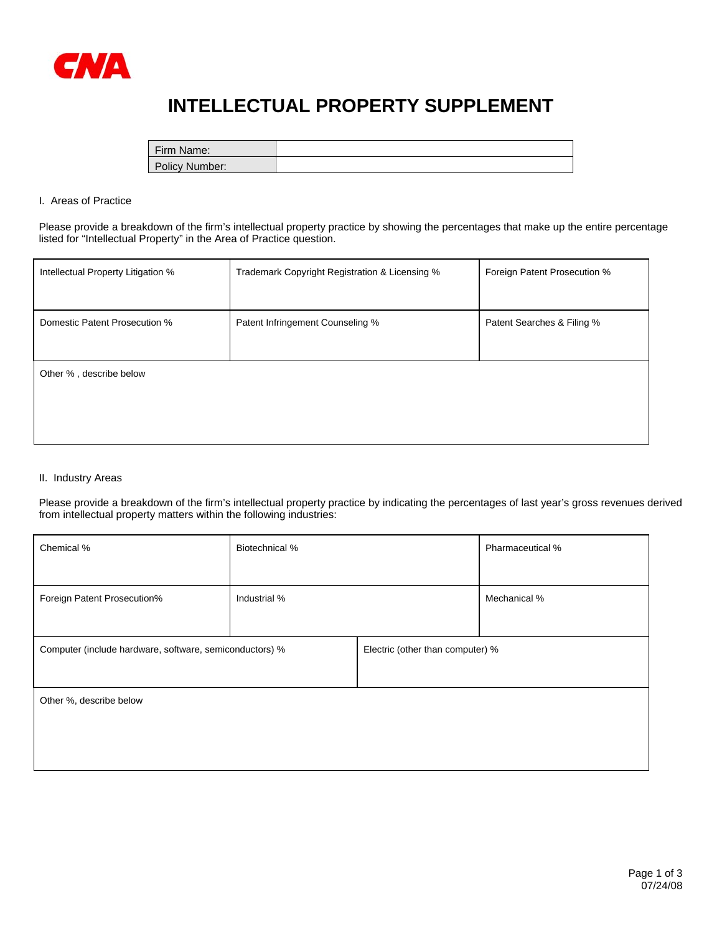

# **INTELLECTUAL PROPERTY SUPPLEMENT**

| Firm Name:     |  |
|----------------|--|
| Policy Number: |  |

### I. Areas of Practice

Please provide a breakdown of the firm's intellectual property practice by showing the percentages that make up the entire percentage listed for "Intellectual Property" in the Area of Practice question.

| Intellectual Property Litigation % | Trademark Copyright Registration & Licensing % | Foreign Patent Prosecution % |
|------------------------------------|------------------------------------------------|------------------------------|
| Domestic Patent Prosecution %      | Patent Infringement Counseling %               | Patent Searches & Filing %   |
| Other %, describe below            |                                                |                              |

#### II. Industry Areas

Please provide a breakdown of the firm's intellectual property practice by indicating the percentages of last year's gross revenues derived from intellectual property matters within the following industries:

| Chemical %                                              | Biotechnical % |  | Pharmaceutical %                 |  |
|---------------------------------------------------------|----------------|--|----------------------------------|--|
|                                                         |                |  |                                  |  |
| Foreign Patent Prosecution%                             | Industrial %   |  | Mechanical %                     |  |
|                                                         |                |  |                                  |  |
| Computer (include hardware, software, semiconductors) % |                |  | Electric (other than computer) % |  |
|                                                         |                |  |                                  |  |
| Other %, describe below                                 |                |  |                                  |  |
|                                                         |                |  |                                  |  |
|                                                         |                |  |                                  |  |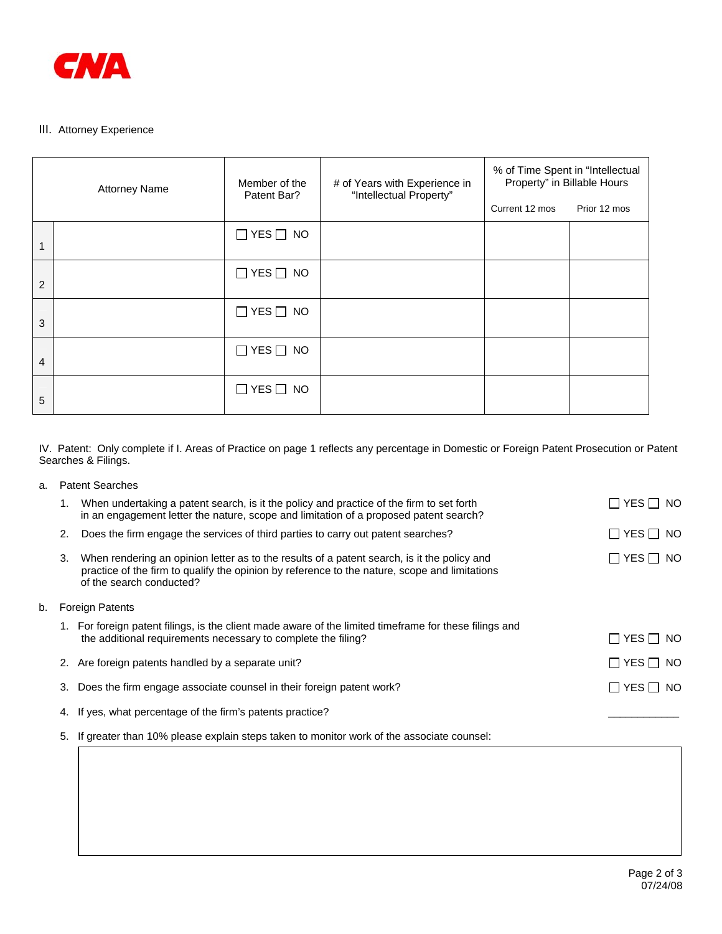

# III. Attorney Experience

| <b>Attorney Name</b> |  | Member of the                  | # of Years with Experience in<br>"Intellectual Property" | % of Time Spent in "Intellectual<br>Property" in Billable Hours |              |
|----------------------|--|--------------------------------|----------------------------------------------------------|-----------------------------------------------------------------|--------------|
|                      |  | Patent Bar?                    |                                                          | Current 12 mos                                                  | Prior 12 mos |
| 1                    |  | $\Box$ YES $\Box$ NO           |                                                          |                                                                 |              |
| $\overline{2}$       |  | $\Box$ YES $\Box$ NO           |                                                          |                                                                 |              |
| 3                    |  | $\Box$ YES $\Box$ NO           |                                                          |                                                                 |              |
| 4                    |  | $\Box$ YES $\Box$<br><b>NO</b> |                                                          |                                                                 |              |
| 5                    |  | $\Box$ YES $\Box$ NO           |                                                          |                                                                 |              |

IV. Patent: Only complete if I. Areas of Practice on page 1 reflects any percentage in Domestic or Foreign Patent Prosecution or Patent Searches & Filings.

| a.                           | <b>Patent Searches</b> |                                                                                                                                                                                                                          |                                |
|------------------------------|------------------------|--------------------------------------------------------------------------------------------------------------------------------------------------------------------------------------------------------------------------|--------------------------------|
|                              |                        | When undertaking a patent search, is it the policy and practice of the firm to set forth<br>in an engagement letter the nature, scope and limitation of a proposed patent search?                                        | $\sqcap$ yes $\sqcap$ no       |
|                              | 2.                     | Does the firm engage the services of third parties to carry out patent searches?                                                                                                                                         | ⊟ YES ⊟ NO                     |
|                              | 3.                     | When rendering an opinion letter as to the results of a patent search, is it the policy and<br>practice of the firm to qualify the opinion by reference to the nature, scope and limitations<br>of the search conducted? | $\square$ YES $\square$<br>NO. |
| <b>Foreign Patents</b><br>b. |                        |                                                                                                                                                                                                                          |                                |
|                              |                        | 1. For foreign patent filings, is the client made aware of the limited timeframe for these filings and<br>the additional requirements necessary to complete the filing?                                                  | ∣YESII NO                      |
|                              |                        | 2. Are foreign patents handled by a separate unit?                                                                                                                                                                       | $\square$ YES $\square$ NO     |
|                              | 3.                     | Does the firm engage associate counsel in their foreign patent work?                                                                                                                                                     | $\sqcap$ yes $\sqcap$<br>NO.   |
|                              | 4.                     | If yes, what percentage of the firm's patents practice?                                                                                                                                                                  |                                |

5. If greater than 10% please explain steps taken to monitor work of the associate counsel: